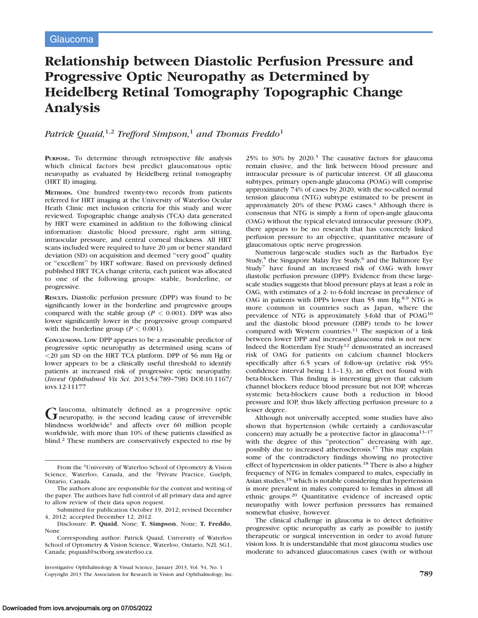# Relationship between Diastolic Perfusion Pressure and Progressive Optic Neuropathy as Determined by Heidelberg Retinal Tomography Topographic Change Analysis

## Patrick Quaid,<sup>1,2</sup> Trefford Simpson,<sup>1</sup> and Thomas Freddo<sup>1</sup>

PURPOSE. To determine through retrospective file analysis which clinical factors best predict glaucomatous optic neuropathy as evaluated by Heidelberg retinal tomography (HRT II) imaging.

METHODS. One hundred twenty-two records from patients referred for HRT imaging at the University of Waterloo Ocular Heath Clinic met inclusion criteria for this study and were reviewed. Topographic change analysis (TCA) data generated by HRT were examined in addition to the following clinical information: diastolic blood pressure, right arm sitting, intraocular pressure, and central corneal thickness. All HRT scans included were required to have 20 µm or better standard deviation (SD) on acquisition and deemed ''very good'' quality or ''excellent'' by HRT software. Based on previously defined published HRT TCA change criteria, each patient was allocated to one of the following groups: stable, borderline, or progressive.

RESULTS. Diastolic perfusion pressure (DPP) was found to be significantly lower in the borderline and progressive groups compared with the stable group ( $P < 0.001$ ). DPP was also lower significantly lower in the progressive group compared with the borderline group ( $P < 0.001$ ).

CONCLUSIONS. Low DPP appears to be a reasonable predictor of progressive optic neuropathy as determined using scans of  $<$  20  $\mu$ m SD on the HRT TCA platform. DPP of 56 mm Hg or lower appears to be a clinically useful threshold to identify patients at increased risk of progressive optic neuropathy. (Invest Ophthalmol Vis Sci. 2013;54:789–798) DOI:10.1167/ iovs.12-11177

Glaucoma, ultimately defined as a progressive optic<br>meuropathy, is the second leading cause of irreversible blindness worldwide<sup>1</sup> and affects over 60 million people worldwide, with more than 10% of these patients classified as blind.2 These numbers are conservatively expected to rise by

Investigative Ophthalmology & Visual Science, January 2013, Vol. 54, No. 1 Copyright 2013 The Association for Research in Vision and Ophthalmology, Inc. 789

25% to 30% by 2020.<sup>3</sup> The causative factors for glaucoma remain elusive, and the link between blood pressure and intraocular pressure is of particular interest. Of all glaucoma subtypes, primary open-angle glaucoma (POAG) will comprise approximately 74% of cases by 2020, with the so-called normal tension glaucoma (NTG) subtype estimated to be present in approximately 20% of these POAG cases.<sup>4</sup> Although there is consensus that NTG is simply a form of open-angle glaucoma (OAG) without the typical elevated intraocular pressure (IOP), there appears to be no research that has concretely linked perfusion pressure to an objective, quantitative measure of glaucomatous optic nerve progression.

Numerous large-scale studies such as the Barbados Eye Study,<sup>5</sup> the Singapore Malay Eye Study,<sup>6</sup> and the Baltimore Eye Study<sup>7</sup> have found an increased risk of OAG with lower diastolic perfusion pressure (DPP). Evidence from these largescale studies suggests that blood pressure plays at least a role in OAG, with estimates of a 2- to 6-fold increase in prevalence of OAG in patients with DPPs lower than 55 mm Hg.<sup>8,9</sup> NTG is more common in countries such as Japan, where the prevalence of NTG is approximately 3-fold that of POAG<sup>10</sup> and the diastolic blood pressure (DBP) tends to be lower compared with Western countries.<sup>11</sup> The suspicion of a link between lower DPP and increased glaucoma risk is not new. Indeed the Rotterdam Eye Study<sup>12</sup> demonstrated an increased risk of OAG for patients on calcium channel blockers specifically after 6.5 years of follow-up (relative risk 95% confidence interval being 1.1–1.3), an effect not found with beta-blockers. This finding is interesting given that calcium channel blockers reduce blood pressure but not IOP, whereas systemic beta-blockers cause both a reduction in blood pressure and IOP, thus likely affecting perfusion pressure to a lesser degree.

Although not universally accepted, some studies have also shown that hypertension (while certainly a cardiovascular concern) may actually be a protective factor in glaucoma<sup>13-17</sup> with the degree of this ''protection'' decreasing with age, possibly due to increased atherosclerosis.<sup>17</sup> This may explain some of the contradictory findings showing no protective effect of hypertension in older patients.<sup>18</sup> There is also a higher frequency of NTG in females compared to males, especially in Asian studies,<sup>19</sup> which is notable considering that hypertension is more prevalent in males compared to females in almost all ethnic groups.20 Quantitative evidence of increased optic neuropathy with lower perfusion pressures has remained somewhat elusive, however.

The clinical challenge in glaucoma is to detect definitive progressive optic neuropathy as early as possible to justify therapeutic or surgical intervention in order to avoid future vision loss. It is understandable that most glaucoma studies use moderate to advanced glaucomatous cases (with or without

From the 1University of Waterloo School of Optometry & Vision Science, Waterloo, Canada, and the 2Private Practice, Guelph, Ontario, Canada.

The authors alone are responsible for the content and writing of the paper. The authors have full control of all primary data and agree to allow review of their data upon request.

Submitted for publication October 19, 2012; revised December 4, 2012; accepted December 12, 2012.

Disclosure: P. Quaid, None; T. Simpson, None; T. Freddo, None

Corresponding author: Patrick Quaid, University of Waterloo School of Optometry & Vision Science, Waterloo, Ontario, N2L 3G1, Canada; ptquaid@sciborg.uwaterloo.ca.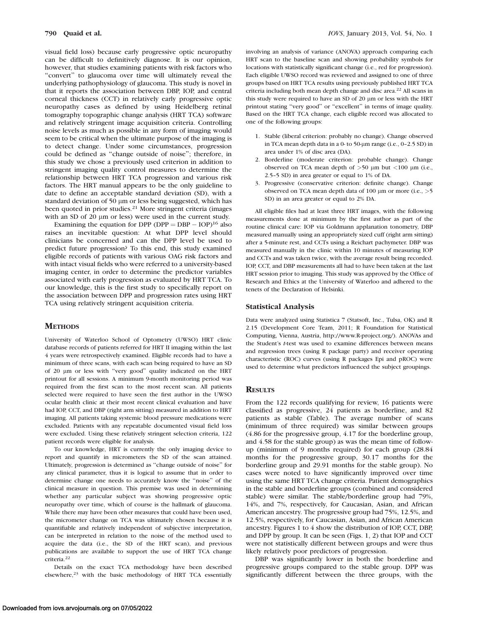visual field loss) because early progressive optic neuropathy can be difficult to definitively diagnose. It is our opinion, however, that studies examining patients with risk factors who "convert" to glaucoma over time will ultimately reveal the underlying pathophysiology of glaucoma. This study is novel in that it reports the association between DBP, IOP, and central corneal thickness (CCT) in relatively early progressive optic neuropathy cases as defined by using Heidelberg retinal tomography topographic change analysis (HRT TCA) software and relatively stringent image acquisition criteria. Controlling noise levels as much as possible in any form of imaging would seem to be critical when the ultimate purpose of the imaging is to detect change. Under some circumstances, progression could be defined as ''change outside of noise''; therefore, in this study we chose a previously used criterion in addition to stringent imaging quality control measures to determine the relationship between HRT TCA progression and various risk factors. The HRT manual appears to be the only guideline to date to define an acceptable standard deviation (SD), with a standard deviation of 50 µm or less being suggested, which has been quoted in prior studies.<sup>21</sup> More stringent criteria (images with an SD of 20 µm or less) were used in the current study.

Examining the equation for DPP (DPP =  $DBP - IOP$ )<sup>16</sup> also raises an inevitable question: At what DPP level should clinicians be concerned and can the DPP level be used to predict future progression? To this end, this study examined eligible records of patients with various OAG risk factors and with intact visual fields who were referred to a university-based imaging center, in order to determine the predictor variables associated with early progression as evaluated by HRT TCA. To our knowledge, this is the first study to specifically report on the association between DPP and progression rates using HRT TCA using relatively stringent acquisition criteria.

#### **METHODS**

University of Waterloo School of Optometry (UWSO) HRT clinic database records of patients referred for HRT II imaging within the last 4 years were retrospectively examined. Eligible records had to have a minimum of three scans, with each scan being required to have an SD of 20 lm or less with ''very good'' quality indicated on the HRT printout for all sessions. A minimum 9-month monitoring period was required from the first scan to the most recent scan. All patients selected were required to have seen the first author in the UWSO ocular health clinic at their most recent clinical evaluation and have had IOP, CCT, and DBP (right arm sitting) measured in addition to HRT imaging. All patients taking systemic blood pressure medications were excluded. Patients with any repeatable documented visual field loss were excluded. Using these relatively stringent selection criteria, 122 patient records were eligible for analysis.

To our knowledge, HRT is currently the only imaging device to report and quantify in micrometers the SD of the scan attained. Ultimately, progression is determined as ''change outside of noise'' for any clinical parameter, thus it is logical to assume that in order to determine change one needs to accurately know the ''noise'' of the clinical measure in question. This premise was used in determining whether any particular subject was showing progressive optic neuropathy over time, which of course is the hallmark of glaucoma. While there may have been other measures that could have been used, the micrometer change on TCA was ultimately chosen because it is quantifiable and relatively independent of subjective interpretation, can be interpreted in relation to the noise of the method used to acquire the data (i.e., the SD of the HRT scan), and previous publications are available to support the use of HRT TCA change criteria.<sup>22</sup>

Details on the exact TCA methodology have been described elsewhere,<sup>23</sup> with the basic methodology of HRT TCA essentially

involving an analysis of variance (ANOVA) approach comparing each HRT scan to the baseline scan and showing probability symbols for locations with statistically significant change (i.e., red for progression). Each eligible UWSO record was reviewed and assigned to one of three groups based on HRT TCA results using previously published HRT TCA criteria including both mean depth change and disc area.<sup>22</sup> All scans in this study were required to have an SD of 20 µm or less with the HRT printout stating ''very good'' or ''excellent'' in terms of image quality. Based on the HRT TCA change, each eligible record was allocated to one of the following groups:

- 1. Stable (liberal criterion: probably no change). Change observed in TCA mean depth data in a  $0-$  to  $50-$ um range (i.e.,  $0-2.5$  SD) in area under 1% of disc area (DA).
- 2. Borderline (moderate criterion: probable change). Change observed on TCA mean depth of  $>50 \mu m$  but <100  $\mu m$  (i.e., 2.5–5 SD) in area greater or equal to 1% of DA.
- 3. Progressive (conservative criterion: definite change). Change observed on TCA mean depth data of 100  $\mu$ m or more (i.e.,  $>5$ SD) in an area greater or equal to 2% DA.

All eligible files had at least three HRT images, with the following measurements done at minimum by the first author as part of the routine clinical care: IOP via Goldmann applanation tonometry, DBP measured manually using an appropriately sized cuff (right arm sitting) after a 5-minute rest, and CCTs using a Reichart pachymeter. DBP was measured manually in the clinic within 10 minutes of measuring IOP and CCTs and was taken twice, with the average result being recorded. IOP, CCT, and DBP measurements all had to have been taken at the last HRT session prior to imaging. This study was approved by the Office of Research and Ethics at the University of Waterloo and adhered to the tenets of the Declaration of Helsinki.

#### Statistical Analysis

Data were analyzed using Statistica 7 (Statsoft, Inc., Tulsa, OK) and R 2.15 (Development Core Team, 2011; R Foundation for Statistical Computing, Vienna, Austria, http://www.R-project.org/). ANOVAs and the Student's t-test was used to examine differences between means and regression trees (using R package party) and receiver operating characteristic (ROC) curves (using R packages Epi and pROC) were used to determine what predictors influenced the subject groupings.

#### **RESULTS**

From the 122 records qualifying for review, 16 patients were classified as progressive, 24 patients as borderline, and 82 patients as stable (Table). The average number of scans (minimum of three required) was similar between groups (4.86 for the progressive group, 4.17 for the borderline group, and 4.58 for the stable group) as was the mean time of followup (minimum of 9 months required) for each group (28.84 months for the progressive group, 30.17 months for the borderline group and 29.91 months for the stable group). No cases were noted to have significantly improved over time using the same HRT TCA change criteria. Patient demographics in the stable and borderline groups (combined and considered stable) were similar. The stable/borderline group had 79%, 14%, and 7%, respectively, for Caucasian, Asian, and African American ancestry. The progressive group had 75%, 12.5%, and 12.5%, respectively, for Caucasian, Asian, and African American ancestry. Figures 1 to 4 show the distribution of IOP, CCT, DBP, and DPP by group. It can be seen (Figs. 1, 2) that IOP and CCT were not statistically different between groups and were thus likely relatively poor predictors of progression.

DBP was significantly lower in both the borderline and progressive groups compared to the stable group. DPP was significantly different between the three groups, with the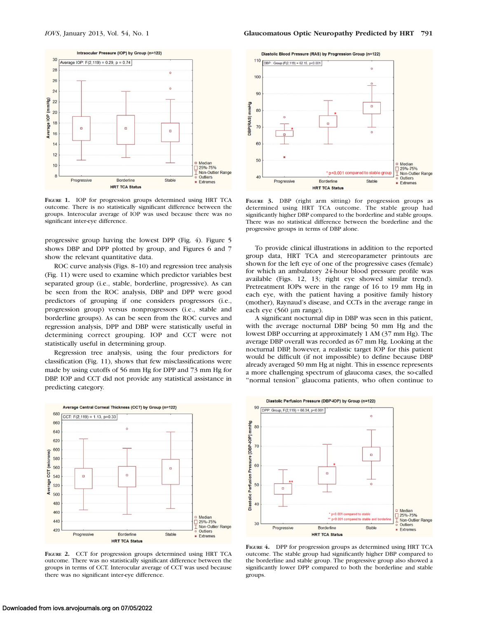

FIGURE 1. IOP for progression groups determined using HRT TCA outcome. There is no statistically significant difference between the groups. Interocular average of IOP was used because there was no significant inter-eye difference.

progressive group having the lowest DPP (Fig. 4). Figure 5 shows DBP and DPP plotted by group, and Figures 6 and 7 show the relevant quantitative data.

ROC curve analysis (Figs. 8–10) and regression tree analysis (Fig. 11) were used to examine which predictor variables best separated group (i.e., stable, borderline, progressive). As can be seen from the ROC analysis, DBP and DPP were good predictors of grouping if one considers progressors (i.e., progression group) versus nonprogressors (i.e., stable and borderline groups). As can be seen from the ROC curves and regression analysis, DPP and DBP were statistically useful in determining correct grouping. IOP and CCT were not statistically useful in determining group.

Regression tree analysis, using the four predictors for classification (Fig. 11), shows that few misclassifications were made by using cutoffs of 56 mm Hg for DPP and 73 mm Hg for DBP. IOP and CCT did not provide any statistical assistance in predicting category.



FIGURE 2. CCT for progression groups determined using HRT TCA outcome. There was no statistically significant difference between the groups in terms of CCT. Interocular average of CCT was used because there was no significant inter-eye difference.



FIGURE 3. DBP (right arm sitting) for progression groups as determined using HRT TCA outcome. The stable group had significantly higher DBP compared to the borderline and stable groups. There was no statistical difference between the borderline and the progressive groups in terms of DBP alone.

To provide clinical illustrations in addition to the reported group data, HRT TCA and stereoparameter printouts are shown for the left eye of one of the progressive cases (female) for which an ambulatory 24-hour blood pressure profile was available (Figs. 12, 13; right eye showed similar trend). Pretreatment IOPs were in the range of 16 to 19 mm Hg in each eye, with the patient having a positive family history (mother), Raynaud's disease, and CCTs in the average range in each eye  $(560 \mu m \text{ range})$ .

A significant nocturnal dip in DBP was seen in this patient, with the average nocturnal DBP being 50 mm Hg and the lowest DBP occurring at approximately 1 AM (37 mm Hg). The average DBP overall was recorded as 67 mm Hg. Looking at the nocturnal DBP, however, a realistic target IOP for this patient would be difficult (if not impossible) to define because DBP already averaged 50 mm Hg at night. This in essence represents a more challenging spectrum of glaucoma cases, the so-called ''normal tension'' glaucoma patients, who often continue to



FIGURE 4. DPP for progression groups as determined using HRT TCA outcome. The stable group had significantly higher DBP compared to the borderline and stable group. The progressive group also showed a significantly lower DPP compared to both the borderline and stable groups.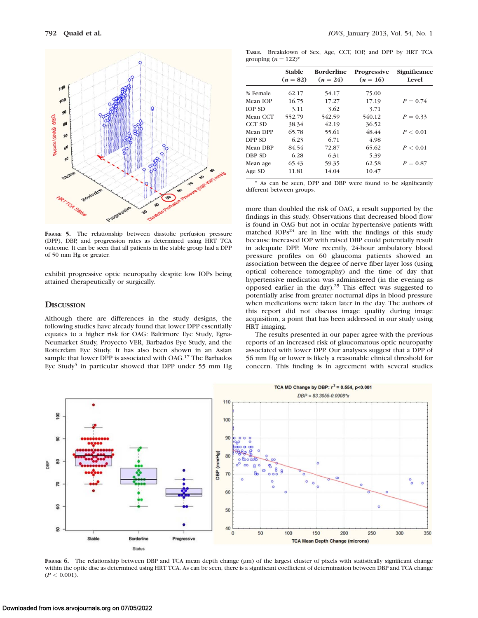

FIGURE 5. The relationship between diastolic perfusion pressure (DPP), DBP, and progression rates as determined using HRT TCA outcome. It can be seen that all patients in the stable group had a DPP of 50 mm Hg or greater.

exhibit progressive optic neuropathy despite low IOPs being attained therapeutically or surgically.

### **DISCUSSION**

Although there are differences in the study designs, the following studies have already found that lower DPP essentially equates to a higher risk for OAG: Baltimore Eye Study, Egna-Neumarket Study, Proyecto VER, Barbados Eye Study, and the Rotterdam Eye Study. It has also been shown in an Asian sample that lower DPP is associated with OAG.<sup>17</sup> The Barbados Eye Study5 in particular showed that DPP under 55 mm Hg

| TABLE. Breakdown of Sex, Age, CCT, IOP, and DPP by HRT TCA |  |  |  |  |  |
|------------------------------------------------------------|--|--|--|--|--|
| grouping $(n = 122)^*$                                     |  |  |  |  |  |

|               | <b>Stable</b><br>$(n = 82)$ | <b>Borderline</b><br>$(n = 24)$ | Progressive<br>$(n = 16)$ | Significance<br><b>Level</b> |
|---------------|-----------------------------|---------------------------------|---------------------------|------------------------------|
| % Female      | 62.17                       | 54.17                           | 75.00                     |                              |
| Mean IOP      | 16.75                       | 17.27                           | 17.19                     | $P = 0.74$                   |
| <b>TOP SD</b> | 3.11                        | 3.62                            | 3.71                      |                              |
| Mean CCT      | 552.79                      | 542.59                          | 540.12                    | $P = 0.33$                   |
| CCT SD        | 38.34                       | 42.19                           | 36.52                     |                              |
| Mean DPP      | 65.78                       | 55.61                           | 48.44                     | P < 0.01                     |
| DPP SD        | 6.23                        | 6.71                            | 4.98                      |                              |
| Mean DBP      | 84.54                       | 72.87                           | 65.62                     | P < 0.01                     |
| DBP SD        | 6.28                        | 6.31                            | 5.39                      |                              |
| Mean age      | 65.43                       | 59.35                           | 62.58                     | $P = 0.87$                   |
| Age SD        | 11.81                       | 14.04                           | 10.47                     |                              |

\* As can be seen, DPP and DBP were found to be significantly different between groups.

more than doubled the risk of OAG, a result supported by the findings in this study. Observations that decreased blood flow is found in OAG but not in ocular hypertensive patients with matched  $IOPs<sup>24</sup>$  are in line with the findings of this study because increased IOP with raised DBP could potentially result in adequate DPP. More recently, 24-hour ambulatory blood pressure profiles on 60 glaucoma patients showed an association between the degree of nerve fiber layer loss (using optical coherence tomography) and the time of day that hypertensive medication was administered (in the evening as opposed earlier in the day).25 This effect was suggested to potentially arise from greater nocturnal dips in blood pressure when medications were taken later in the day. The authors of this report did not discuss image quality during image acquisition, a point that has been addressed in our study using HRT imaging.

The results presented in our paper agree with the previous reports of an increased risk of glaucomatous optic neuropathy associated with lower DPP. Our analyses suggest that a DPP of 56 mm Hg or lower is likely a reasonable clinical threshold for concern. This finding is in agreement with several studies



FIGURE 6. The relationship between DBP and TCA mean depth change (µm) of the largest cluster of pixels with statistically significant change within the optic disc as determined using HRT TCA. As can be seen, there is a significant coefficient of determination between DBP and TCA change  $(P < 0.001)$ .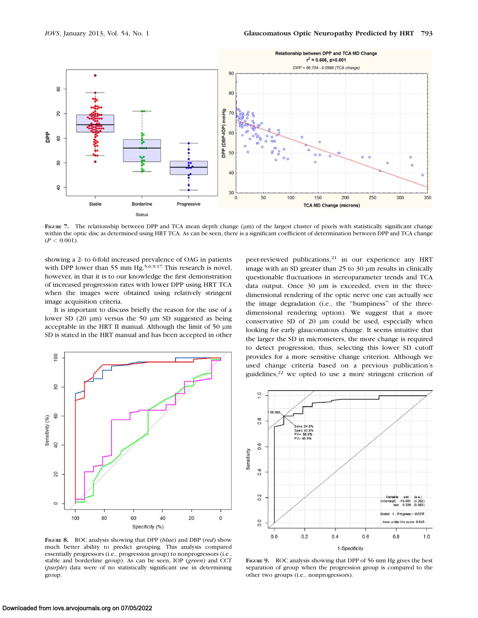

FIGURE 7. The relationship between DPP and TCA mean depth change (µm) of the largest cluster of pixels with statistically significant change within the optic disc as determined using HRT TCA. As can be seen, there is a significant coefficient of determination between DPP and TCA change  $(P < 0.001)$ .

showing a 2- to 6-fold increased prevalence of OAG in patients with DPP lower than 55 mm Hg.<sup>5,6,9,17</sup> This research is novel, however, in that it is to our knowledge the first demonstration of increased progression rates with lower DPP using HRT TCA when the images were obtained using relatively stringent image acquisition criteria.

It is important to discuss briefly the reason for the use of a lower SD (20  $\mu$ m) versus the 50  $\mu$ m SD suggested as being acceptable in the HRT II manual. Although the limit of 50  $\mu$ m SD is stated in the HRT manual and has been accepted in other



FIGURE 8. ROC analysis showing that DPP (blue) and DBP (red) show much better ability to predict grouping. This analysis compared essentially progressors (i.e., progression group) to nonprogressors (i.e., stable and borderline group). As can be seen, IOP (green) and CCT (purple) data were of no statistically significant use in determining group.

peer-reviewed publications,<sup>21</sup> in our experience any HRT image with an SD greater than 25 to 30 µm results in clinically questionable fluctuations in stereoparameter trends and TCA data output. Once  $30 \mu m$  is exceeded, even in the threedimensional rendering of the optic nerve one can actually see the image degradation (i.e., the ''bumpiness'' of the threedimensional rendering option). We suggest that a more conservative SD of 20  $\mu$ m could be used, especially when looking for early glaucomatous change. It seems intuitive that the larger the SD in micrometers, the more change is required to detect progression; thus, selecting this lower SD cutoff provides for a more sensitive change criterion. Although we used change criteria based on a previous publication's guidelines, $22$  we opted to use a more stringent criterion of



FIGURE 9. ROC analysis showing that DPP of 56 mm Hg gives the best separation of group when the progression group is compared to the other two groups (i.e., nonprogressors).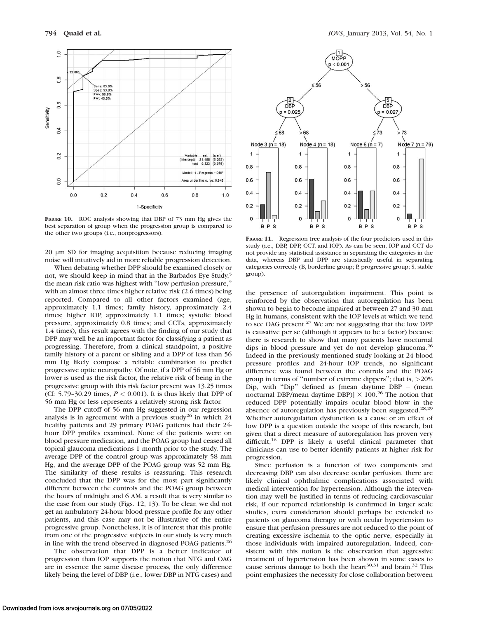

FIGURE 10. ROC analysis showing that DBP of 73 mm Hg gives the best separation of group when the progression group is compared to the other two groups (i.e., nonprogressors).

20 lm SD for imaging acquisition because reducing imaging noise will intuitively aid in more reliable progression detection.

When debating whether DPP should be examined closely or not, we should keep in mind that in the Barbados Eye Study,5 the mean risk ratio was highest with ''low perfusion pressure,'' with an almost three times higher relative risk (2.6 times) being reported. Compared to all other factors examined (age, approximately 1.1 times; family history, approximately 2.4 times; higher IOP, approximately 1.1 times; systolic blood pressure, approximately 0.8 times; and CCTs, approximately 1.4 times), this result agrees with the finding of our study that DPP may well be an important factor for classifying a patient as progressing. Therefore, from a clinical standpoint, a positive family history of a parent or sibling and a DPP of less than 56 mm Hg likely compose a reliable combination to predict progressive optic neuropathy. Of note, if a DPP of 56 mm Hg or lower is used as the risk factor, the relative risk of being in the progressive group with this risk factor present was 13.25 times (CI: 5.79-30.29 times,  $P < 0.001$ ). It is thus likely that DPP of 56 mm Hg or less represents a relatively strong risk factor.

The DPP cutoff of 56 mm Hg suggested in our regression analysis is in agreement with a previous study<sup>26</sup> in which  $24$ healthy patients and 29 primary POAG patients had their 24 hour DPP profiles examined. None of the patients were on blood pressure medication, and the POAG group had ceased all topical glaucoma medications 1 month prior to the study. The average DPP of the control group was approximately 58 mm Hg, and the average DPP of the POAG group was 52 mm Hg. The similarity of these results is reassuring. This research concluded that the DPP was for the most part significantly different between the controls and the POAG group between the hours of midnight and 6 AM, a result that is very similar to the case from our study (Figs. 12, 13). To be clear, we did not get an ambulatory 24-hour blood pressure profile for any other patients, and this case may not be illustrative of the entire progressive group. Nonetheless, it is of interest that this profile from one of the progressive subjects in our study is very much in line with the trend observed in diagnosed POAG patients.<sup>26</sup>

The observation that DPP is a better indicator of progression than IOP supports the notion that NTG and OAG are in essence the same disease process, the only difference likely being the level of DBP (i.e., lower DBP in NTG cases) and



FIGURE 11. Regression tree analysis of the four predictors used in this study (i.e., DBP, DPP, CCT, and IOP). As can be seen, IOP and CCT do not provide any statistical assistance in separating the categories in the data, whereas DBP and DPP are statistically useful in separating categories correctly (B, borderline group; P, progressive group; S, stable group).

the presence of autoregulation impairment. This point is reinforced by the observation that autoregulation has been shown to begin to become impaired at between 27 and 30 mm Hg in humans, consistent with the IOP levels at which we tend to see OAG present.<sup>27</sup> We are not suggesting that the low DPP is causative per se (although it appears to be a factor) because there is research to show that many patients have nocturnal dips in blood pressure and yet do not develop glaucoma.<sup>26</sup> Indeed in the previously mentioned study looking at 24 blood pressure profiles and 24-hour IOP trends, no significant difference was found between the controls and the POAG group in terms of "number of extreme dippers"; that is,  $>20\%$ Dip, with "Dip" defined as [mean daytime DBP - (mean nocturnal DBP/mean daytime DBP)]  $\times$  100.<sup>26</sup> The notion that reduced DPP potentially impairs ocular blood blow in the absence of autoregulation has previously been suggested.<sup>28,29</sup> Whether autoregulation dysfunction is a cause or an effect of low DPP is a question outside the scope of this research, but given that a direct measure of autoregulation has proven very difficult,<sup>16</sup> DPP is likely a useful clinical parameter that clinicians can use to better identify patients at higher risk for progression.

Since perfusion is a function of two components and decreasing DBP can also decrease ocular perfusion, there are likely clinical ophthalmic complications associated with medical intervention for hypertension. Although the intervention may well be justified in terms of reducing cardiovascular risk, if our reported relationship is confirmed in larger scale studies, extra consideration should perhaps be extended to patients on glaucoma therapy or with ocular hypertension to ensure that perfusion pressures are not reduced to the point of creating excessive ischemia to the optic nerve, especially in those individuals with impaired autoregulation. Indeed, consistent with this notion is the observation that aggressive treatment of hypertension has been shown in some cases to cause serious damage to both the heart<sup>30,31</sup> and brain.<sup>32</sup> This point emphasizes the necessity for close collaboration between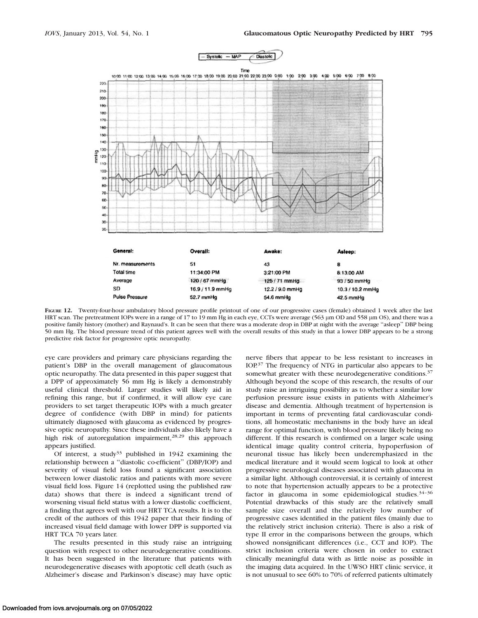

FIGURE 12. Twenty-four-hour ambulatory blood pressure profile printout of one of our progressive cases (female) obtained 1 week after the last HRT scan. The pretreatment IOPs were in a range of 17 to 19 mm Hg in each eye, CCTs were average (563 µm OD and 558 µm OS), and there was a positive family history (mother) and Raynaud's. It can be seen that there was a moderate drop in DBP at night with the average ''asleep'' DBP being 50 mm Hg. The blood pressure trend of this patient agrees well with the overall results of this study in that a lower DBP appears to be a strong predictive risk factor for progressive optic neuropathy.

eye care providers and primary care physicians regarding the patient's DBP in the overall management of glaucomatous optic neuropathy. The data presented in this paper suggest that a DPP of approximately 56 mm Hg is likely a demonstrably useful clinical threshold. Larger studies will likely aid in refining this range, but if confirmed, it will allow eye care providers to set target therapeutic IOPs with a much greater degree of confidence (with DBP in mind) for patients ultimately diagnosed with glaucoma as evidenced by progressive optic neuropathy. Since these individuals also likely have a high risk of autoregulation impairment,<sup>28,29</sup> this approach appears justified.

Of interest, a study<sup>33</sup> published in 1942 examining the relationship between a ''diastolic co-efficient'' (DBP/IOP) and severity of visual field loss found a significant association between lower diastolic ratios and patients with more severe visual field loss. Figure 14 (replotted using the published raw data) shows that there is indeed a significant trend of worsening visual field status with a lower diastolic coefficient, a finding that agrees well with our HRT TCA results. It is to the credit of the authors of this 1942 paper that their finding of increased visual field damage with lower DPP is supported via HRT TCA 70 years later.

The results presented in this study raise an intriguing question with respect to other neurodegenerative conditions. It has been suggested in the literature that patients with neurodegenerative diseases with apoptotic cell death (such as Alzheimer's disease and Parkinson's disease) may have optic

nerve fibers that appear to be less resistant to increases in IOP.37 The frequency of NTG in particular also appears to be somewhat greater with these neurodegenerative conditions.<sup>37</sup> Although beyond the scope of this research, the results of our study raise an intriguing possibility as to whether a similar low perfusion pressure issue exists in patients with Alzheimer's disease and dementia. Although treatment of hypertension is important in terms of preventing fatal cardiovascular conditions, all homeostatic mechanisms in the body have an ideal range for optimal function, with blood pressure likely being no different. If this research is confirmed on a larger scale using identical image quality control criteria, hypoperfusion of neuronal tissue has likely been underemphasized in the medical literature and it would seem logical to look at other progressive neurological diseases associated with glaucoma in a similar light. Although controversial, it is certainly of interest to note that hypertension actually appears to be a protective factor in glaucoma in some epidemiological studies. $34-36$ Potential drawbacks of this study are the relatively small sample size overall and the relatively low number of progressive cases identified in the patient files (mainly due to the relatively strict inclusion criteria). There is also a risk of type II error in the comparisons between the groups, which showed nonsignificant differences (i.e., CCT and IOP). The strict inclusion criteria were chosen in order to extract clinically meaningful data with as little noise as possible in the imaging data acquired. In the UWSO HRT clinic service, it is not unusual to see 60% to 70% of referred patients ultimately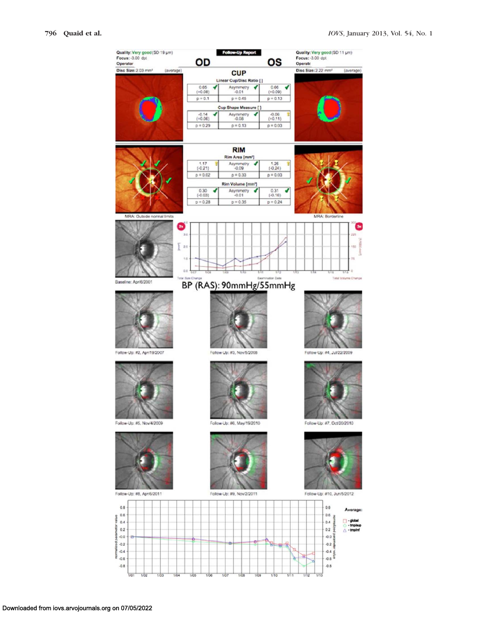

 $1/06$ 

UQ5

 $1/09$ 

 $1/10$ 

 $1/01$ VÖ.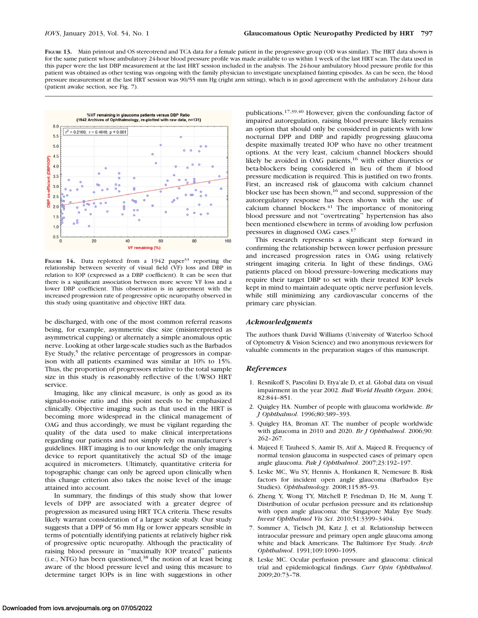FIGURE 13. Main printout and OS stereotrend and TCA data for a female patient in the progressive group (OD was similar). The HRT data shown is for the same patient whose ambulatory 24-hour blood pressure profile was made available to us within 1 week of the last HRT scan. The data used in this paper were the last DBP measurement at the last HRT session included in the analysis. The 24-hour ambulatory blood pressure profile for this patient was obtained as other testing was ongoing with the family physician to investigate unexplained fainting episodes. As can be seen, the blood pressure measurement at the last HRT session was 90/55 mm Hg (right arm sitting), which is in good agreement with the ambulatory 24-hour data (patient awake section, see Fig. 7).



FIGURE 14. Data replotted from a 1942 paper<sup>33</sup> reporting the relationship between severity of visual field (VF) loss and DBP in relation to IOP (expressed as a DBP coefficient). It can be seen that there is a significant association between more severe VF loss and a lower DBP coefficient. This observation is in agreement with the increased progression rate of progressive optic neuropathy observed in this study using quantitative and objective HRT data.

be discharged, with one of the most common referral reasons being, for example, asymmetric disc size (misinterpreted as asymmetrical cupping) or alternately a simple anomalous optic nerve. Looking at other large-scale studies such as the Barbados Eye Study, $5$  the relative percentage of progressors in comparison with all patients examined was similar at 10% to 15%. Thus, the proportion of progressors relative to the total sample size in this study is reasonably reflective of the UWSO HRT service.

Imaging, like any clinical measure, is only as good as its signal-to-noise ratio and this point needs to be emphasized clinically. Objective imaging such as that used in the HRT is becoming more widespread in the clinical management of OAG and thus accordingly, we must be vigilant regarding the quality of the data used to make clinical interpretations regarding our patients and not simply rely on manufacturer's guidelines. HRT imaging is to our knowledge the only imaging device to report quantitatively the actual SD of the image acquired in micrometers. Ultimately, quantitative criteria for topographic change can only be agreed upon clinically when this change criterion also takes the noise level of the image attained into account.

In summary, the findings of this study show that lower levels of DPP are associated with a greater degree of progression as measured using HRT TCA criteria. These results likely warrant consideration of a larger scale study. Our study suggests that a DPP of 56 mm Hg or lower appears sensible in terms of potentially identifying patients at relatively higher risk of progressive optic neuropathy. Although the practicality of raising blood pressure in ''maximally IOP treated'' patients  $(i.e., NTG)$  has been questioned,<sup>38</sup> the notion of at least being aware of the blood pressure level and using this measure to determine target IOPs is in line with suggestions in other

publications.17,39,40 However, given the confounding factor of impaired autoregulation, raising blood pressure likely remains an option that should only be considered in patients with low nocturnal DPP and DBP and rapidly progressing glaucoma despite maximally treated IOP who have no other treatment options. At the very least, calcium channel blockers should likely be avoided in OAG patients,<sup>16</sup> with either diuretics or beta-blockers being considered in lieu of them if blood pressure medication is required. This is justified on two fronts. First, an increased risk of glaucoma with calcium channel blocker use has been shown,<sup>16</sup> and second, suppression of the autoregulatory response has been shown with the use of calcium channel blockers. $41$  The importance of monitoring blood pressure and not ''overtreating'' hypertension has also been mentioned elsewhere in terms of avoiding low perfusion pressures in diagnosed OAG cases.<sup>17</sup>

This research represents a significant step forward in confirming the relationship between lower perfusion pressure and increased progression rates in OAG using relatively stringent imaging criteria. In light of these findings, OAG patients placed on blood pressure–lowering medications may require their target DBP to set with their treated IOP levels kept in mind to maintain adequate optic nerve perfusion levels, while still minimizing any cardiovascular concerns of the primary care physician.

#### Acknowledgments

The authors thank David Williams (University of Waterloo School of Optometry & Vision Science) and two anonymous reviewers for valuable comments in the preparation stages of this manuscript.

#### **References**

- 1. Resnikoff S, Pascolini D, Etya'ale D, et al. Global data on visual impairment in the year 2002. Bull World Health Organ. 2004; 82:844–851.
- 2. Quigley HA. Number of people with glaucoma worldwide. Br J Ophthalmol. 1996;80:389–393.
- 3. Quigley HA, Broman AT. The number of people worldwide with glaucoma in 2010 and 2020. Br J Ophthalmol. 2006;90: 262–267.
- 4. Majeed F, Tauheed S, Aamir IS, Atif A, Majeed R. Frequency of normal tension glaucoma in suspected cases of primary open angle glaucoma. Pak J Ophthalmol. 2007;23:192–197.
- 5. Leske MC, Wu SY, Hennis A, Honkanen R, Nemesure B. Risk factors for incident open angle glaucoma (Barbados Eye Studies). Ophthalmology. 2008;115:85–93.
- 6. Zheng Y, Wong TY, Mitchell P, Friedman D, He M, Aung T. Distribution of ocular perfusion pressure and its relationship with open angle glaucoma: the Singapore Malay Eye Study. Invest Ophthalmol Vis Sci. 2010;51:3399–3404.
- 7. Sommer A, Tielsch JM, Katz J, et al. Relationship between intraocular pressure and primary open angle glaucoma among white and black Americans. The Baltimore Eye Study. Arch Ophthalmol. 1991;109:1090–1095.
- 8. Leske MC. Ocular perfusion pressure and glaucoma: clinical trial and epidemiological findings. Curr Opin Ophthalmol. 2009;20:73–78.